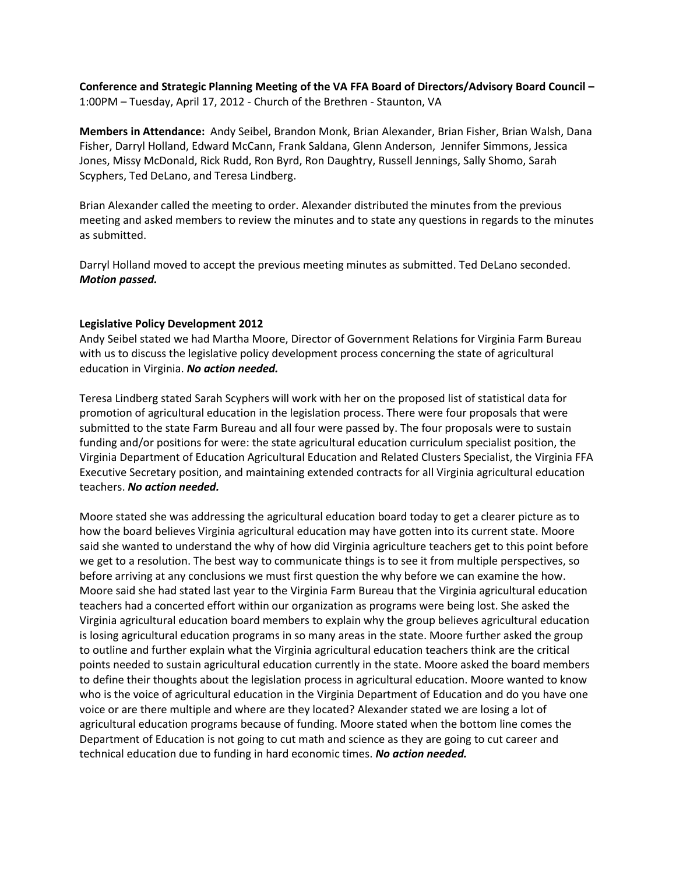**Conference and Strategic Planning Meeting of the VA FFA Board of Directors/Advisory Board Council –** 1:00PM – Tuesday, April 17, 2012 - Church of the Brethren - Staunton, VA

**Members in Attendance:** Andy Seibel, Brandon Monk, Brian Alexander, Brian Fisher, Brian Walsh, Dana Fisher, Darryl Holland, Edward McCann, Frank Saldana, Glenn Anderson, Jennifer Simmons, Jessica Jones, Missy McDonald, Rick Rudd, Ron Byrd, Ron Daughtry, Russell Jennings, Sally Shomo, Sarah Scyphers, Ted DeLano, and Teresa Lindberg.

Brian Alexander called the meeting to order. Alexander distributed the minutes from the previous meeting and asked members to review the minutes and to state any questions in regards to the minutes as submitted.

Darryl Holland moved to accept the previous meeting minutes as submitted. Ted DeLano seconded. *Motion passed.*

# **Legislative Policy Development 2012**

Andy Seibel stated we had Martha Moore, Director of Government Relations for Virginia Farm Bureau with us to discuss the legislative policy development process concerning the state of agricultural education in Virginia. *No action needed.*

Teresa Lindberg stated Sarah Scyphers will work with her on the proposed list of statistical data for promotion of agricultural education in the legislation process. There were four proposals that were submitted to the state Farm Bureau and all four were passed by. The four proposals were to sustain funding and/or positions for were: the state agricultural education curriculum specialist position, the Virginia Department of Education Agricultural Education and Related Clusters Specialist, the Virginia FFA Executive Secretary position, and maintaining extended contracts for all Virginia agricultural education teachers. *No action needed.*

Moore stated she was addressing the agricultural education board today to get a clearer picture as to how the board believes Virginia agricultural education may have gotten into its current state. Moore said she wanted to understand the why of how did Virginia agriculture teachers get to this point before we get to a resolution. The best way to communicate things is to see it from multiple perspectives, so before arriving at any conclusions we must first question the why before we can examine the how. Moore said she had stated last year to the Virginia Farm Bureau that the Virginia agricultural education teachers had a concerted effort within our organization as programs were being lost. She asked the Virginia agricultural education board members to explain why the group believes agricultural education is losing agricultural education programs in so many areas in the state. Moore further asked the group to outline and further explain what the Virginia agricultural education teachers think are the critical points needed to sustain agricultural education currently in the state. Moore asked the board members to define their thoughts about the legislation process in agricultural education. Moore wanted to know who is the voice of agricultural education in the Virginia Department of Education and do you have one voice or are there multiple and where are they located? Alexander stated we are losing a lot of agricultural education programs because of funding. Moore stated when the bottom line comes the Department of Education is not going to cut math and science as they are going to cut career and technical education due to funding in hard economic times. *No action needed.*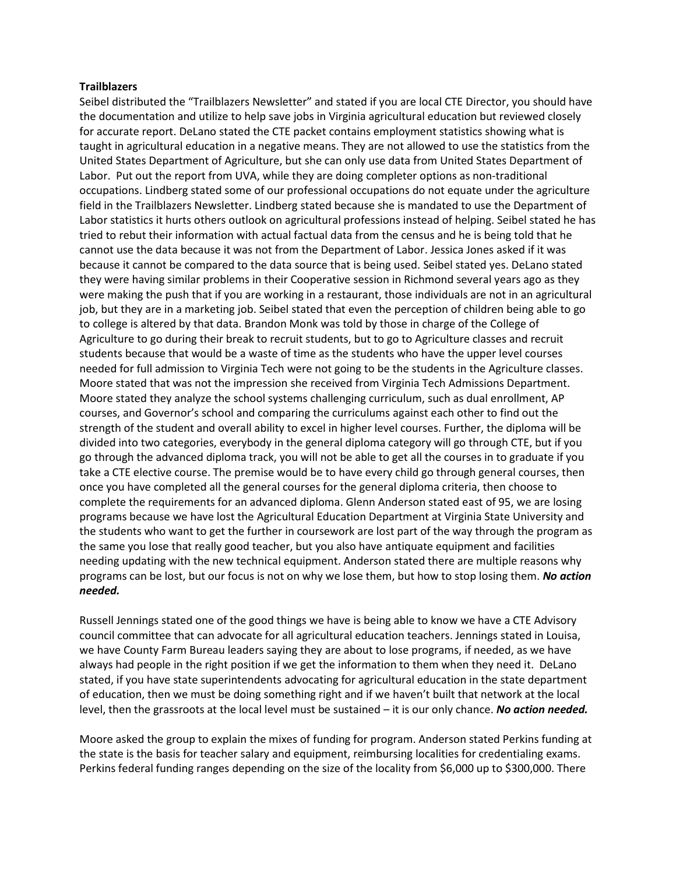#### **Trailblazers**

Seibel distributed the "Trailblazers Newsletter" and stated if you are local CTE Director, you should have the documentation and utilize to help save jobs in Virginia agricultural education but reviewed closely for accurate report. DeLano stated the CTE packet contains employment statistics showing what is taught in agricultural education in a negative means. They are not allowed to use the statistics from the United States Department of Agriculture, but she can only use data from United States Department of Labor. Put out the report from UVA, while they are doing completer options as non-traditional occupations. Lindberg stated some of our professional occupations do not equate under the agriculture field in the Trailblazers Newsletter. Lindberg stated because she is mandated to use the Department of Labor statistics it hurts others outlook on agricultural professions instead of helping. Seibel stated he has tried to rebut their information with actual factual data from the census and he is being told that he cannot use the data because it was not from the Department of Labor. Jessica Jones asked if it was because it cannot be compared to the data source that is being used. Seibel stated yes. DeLano stated they were having similar problems in their Cooperative session in Richmond several years ago as they were making the push that if you are working in a restaurant, those individuals are not in an agricultural job, but they are in a marketing job. Seibel stated that even the perception of children being able to go to college is altered by that data. Brandon Monk was told by those in charge of the College of Agriculture to go during their break to recruit students, but to go to Agriculture classes and recruit students because that would be a waste of time as the students who have the upper level courses needed for full admission to Virginia Tech were not going to be the students in the Agriculture classes. Moore stated that was not the impression she received from Virginia Tech Admissions Department. Moore stated they analyze the school systems challenging curriculum, such as dual enrollment, AP courses, and Governor's school and comparing the curriculums against each other to find out the strength of the student and overall ability to excel in higher level courses. Further, the diploma will be divided into two categories, everybody in the general diploma category will go through CTE, but if you go through the advanced diploma track, you will not be able to get all the courses in to graduate if you take a CTE elective course. The premise would be to have every child go through general courses, then once you have completed all the general courses for the general diploma criteria, then choose to complete the requirements for an advanced diploma. Glenn Anderson stated east of 95, we are losing programs because we have lost the Agricultural Education Department at Virginia State University and the students who want to get the further in coursework are lost part of the way through the program as the same you lose that really good teacher, but you also have antiquate equipment and facilities needing updating with the new technical equipment. Anderson stated there are multiple reasons why programs can be lost, but our focus is not on why we lose them, but how to stop losing them. *No action needed.*

Russell Jennings stated one of the good things we have is being able to know we have a CTE Advisory council committee that can advocate for all agricultural education teachers. Jennings stated in Louisa, we have County Farm Bureau leaders saying they are about to lose programs, if needed, as we have always had people in the right position if we get the information to them when they need it. DeLano stated, if you have state superintendents advocating for agricultural education in the state department of education, then we must be doing something right and if we haven't built that network at the local level, then the grassroots at the local level must be sustained – it is our only chance. *No action needed.*

Moore asked the group to explain the mixes of funding for program. Anderson stated Perkins funding at the state is the basis for teacher salary and equipment, reimbursing localities for credentialing exams. Perkins federal funding ranges depending on the size of the locality from \$6,000 up to \$300,000. There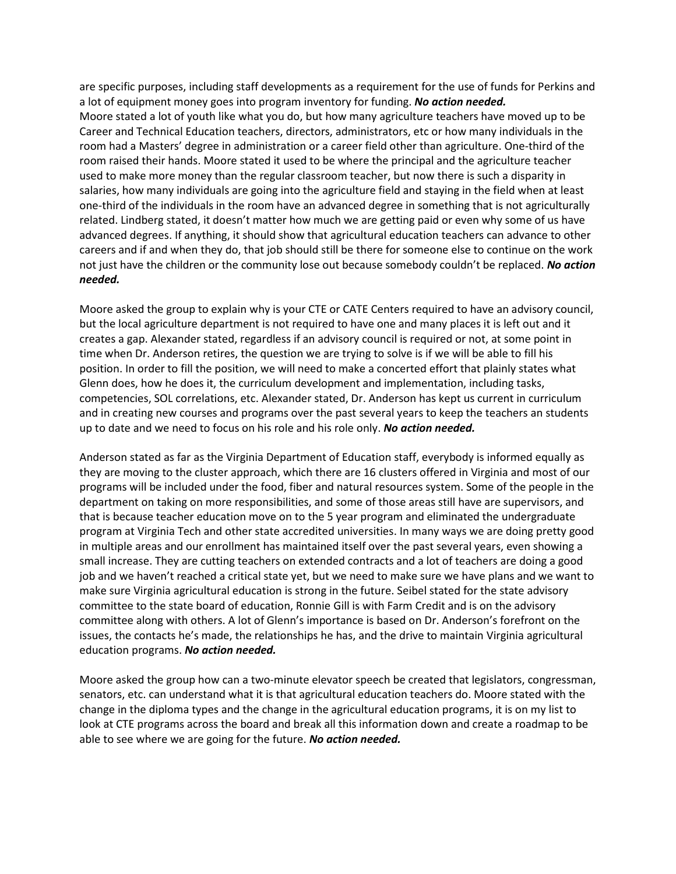are specific purposes, including staff developments as a requirement for the use of funds for Perkins and a lot of equipment money goes into program inventory for funding. *No action needed.* Moore stated a lot of youth like what you do, but how many agriculture teachers have moved up to be Career and Technical Education teachers, directors, administrators, etc or how many individuals in the room had a Masters' degree in administration or a career field other than agriculture. One-third of the room raised their hands. Moore stated it used to be where the principal and the agriculture teacher used to make more money than the regular classroom teacher, but now there is such a disparity in salaries, how many individuals are going into the agriculture field and staying in the field when at least one-third of the individuals in the room have an advanced degree in something that is not agriculturally related. Lindberg stated, it doesn't matter how much we are getting paid or even why some of us have advanced degrees. If anything, it should show that agricultural education teachers can advance to other careers and if and when they do, that job should still be there for someone else to continue on the work not just have the children or the community lose out because somebody couldn't be replaced. *No action needed.*

Moore asked the group to explain why is your CTE or CATE Centers required to have an advisory council, but the local agriculture department is not required to have one and many places it is left out and it creates a gap. Alexander stated, regardless if an advisory council is required or not, at some point in time when Dr. Anderson retires, the question we are trying to solve is if we will be able to fill his position. In order to fill the position, we will need to make a concerted effort that plainly states what Glenn does, how he does it, the curriculum development and implementation, including tasks, competencies, SOL correlations, etc. Alexander stated, Dr. Anderson has kept us current in curriculum and in creating new courses and programs over the past several years to keep the teachers an students up to date and we need to focus on his role and his role only. *No action needed.*

Anderson stated as far as the Virginia Department of Education staff, everybody is informed equally as they are moving to the cluster approach, which there are 16 clusters offered in Virginia and most of our programs will be included under the food, fiber and natural resources system. Some of the people in the department on taking on more responsibilities, and some of those areas still have are supervisors, and that is because teacher education move on to the 5 year program and eliminated the undergraduate program at Virginia Tech and other state accredited universities. In many ways we are doing pretty good in multiple areas and our enrollment has maintained itself over the past several years, even showing a small increase. They are cutting teachers on extended contracts and a lot of teachers are doing a good job and we haven't reached a critical state yet, but we need to make sure we have plans and we want to make sure Virginia agricultural education is strong in the future. Seibel stated for the state advisory committee to the state board of education, Ronnie Gill is with Farm Credit and is on the advisory committee along with others. A lot of Glenn's importance is based on Dr. Anderson's forefront on the issues, the contacts he's made, the relationships he has, and the drive to maintain Virginia agricultural education programs. *No action needed.*

Moore asked the group how can a two-minute elevator speech be created that legislators, congressman, senators, etc. can understand what it is that agricultural education teachers do. Moore stated with the change in the diploma types and the change in the agricultural education programs, it is on my list to look at CTE programs across the board and break all this information down and create a roadmap to be able to see where we are going for the future. *No action needed.*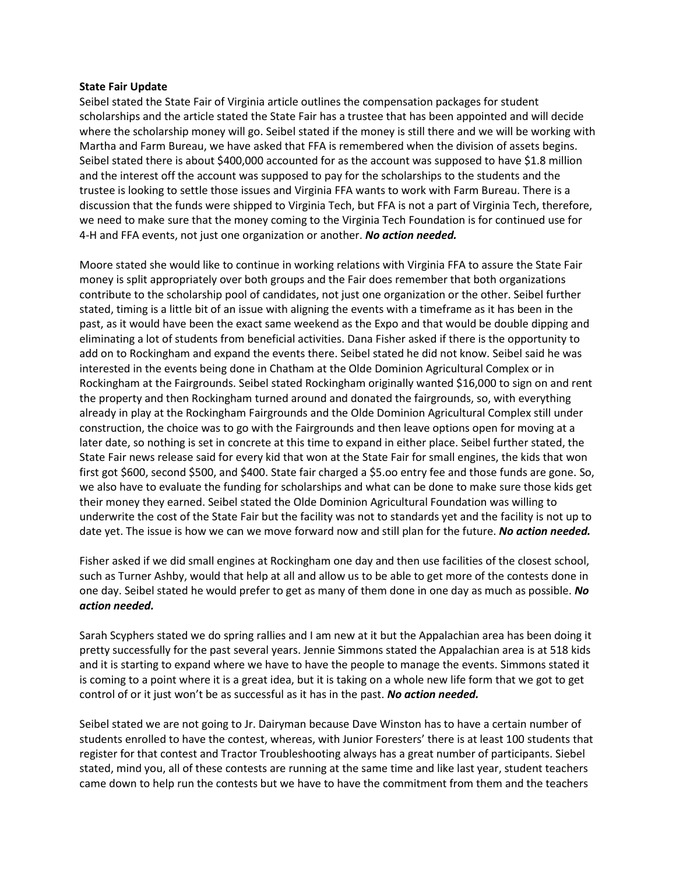### **State Fair Update**

Seibel stated the State Fair of Virginia article outlines the compensation packages for student scholarships and the article stated the State Fair has a trustee that has been appointed and will decide where the scholarship money will go. Seibel stated if the money is still there and we will be working with Martha and Farm Bureau, we have asked that FFA is remembered when the division of assets begins. Seibel stated there is about \$400,000 accounted for as the account was supposed to have \$1.8 million and the interest off the account was supposed to pay for the scholarships to the students and the trustee is looking to settle those issues and Virginia FFA wants to work with Farm Bureau. There is a discussion that the funds were shipped to Virginia Tech, but FFA is not a part of Virginia Tech, therefore, we need to make sure that the money coming to the Virginia Tech Foundation is for continued use for 4-H and FFA events, not just one organization or another. *No action needed.*

Moore stated she would like to continue in working relations with Virginia FFA to assure the State Fair money is split appropriately over both groups and the Fair does remember that both organizations contribute to the scholarship pool of candidates, not just one organization or the other. Seibel further stated, timing is a little bit of an issue with aligning the events with a timeframe as it has been in the past, as it would have been the exact same weekend as the Expo and that would be double dipping and eliminating a lot of students from beneficial activities. Dana Fisher asked if there is the opportunity to add on to Rockingham and expand the events there. Seibel stated he did not know. Seibel said he was interested in the events being done in Chatham at the Olde Dominion Agricultural Complex or in Rockingham at the Fairgrounds. Seibel stated Rockingham originally wanted \$16,000 to sign on and rent the property and then Rockingham turned around and donated the fairgrounds, so, with everything already in play at the Rockingham Fairgrounds and the Olde Dominion Agricultural Complex still under construction, the choice was to go with the Fairgrounds and then leave options open for moving at a later date, so nothing is set in concrete at this time to expand in either place. Seibel further stated, the State Fair news release said for every kid that won at the State Fair for small engines, the kids that won first got \$600, second \$500, and \$400. State fair charged a \$5.oo entry fee and those funds are gone. So, we also have to evaluate the funding for scholarships and what can be done to make sure those kids get their money they earned. Seibel stated the Olde Dominion Agricultural Foundation was willing to underwrite the cost of the State Fair but the facility was not to standards yet and the facility is not up to date yet. The issue is how we can we move forward now and still plan for the future. *No action needed.*

Fisher asked if we did small engines at Rockingham one day and then use facilities of the closest school, such as Turner Ashby, would that help at all and allow us to be able to get more of the contests done in one day. Seibel stated he would prefer to get as many of them done in one day as much as possible. *No action needed.*

Sarah Scyphers stated we do spring rallies and I am new at it but the Appalachian area has been doing it pretty successfully for the past several years. Jennie Simmons stated the Appalachian area is at 518 kids and it is starting to expand where we have to have the people to manage the events. Simmons stated it is coming to a point where it is a great idea, but it is taking on a whole new life form that we got to get control of or it just won't be as successful as it has in the past. *No action needed.*

Seibel stated we are not going to Jr. Dairyman because Dave Winston has to have a certain number of students enrolled to have the contest, whereas, with Junior Foresters' there is at least 100 students that register for that contest and Tractor Troubleshooting always has a great number of participants. Siebel stated, mind you, all of these contests are running at the same time and like last year, student teachers came down to help run the contests but we have to have the commitment from them and the teachers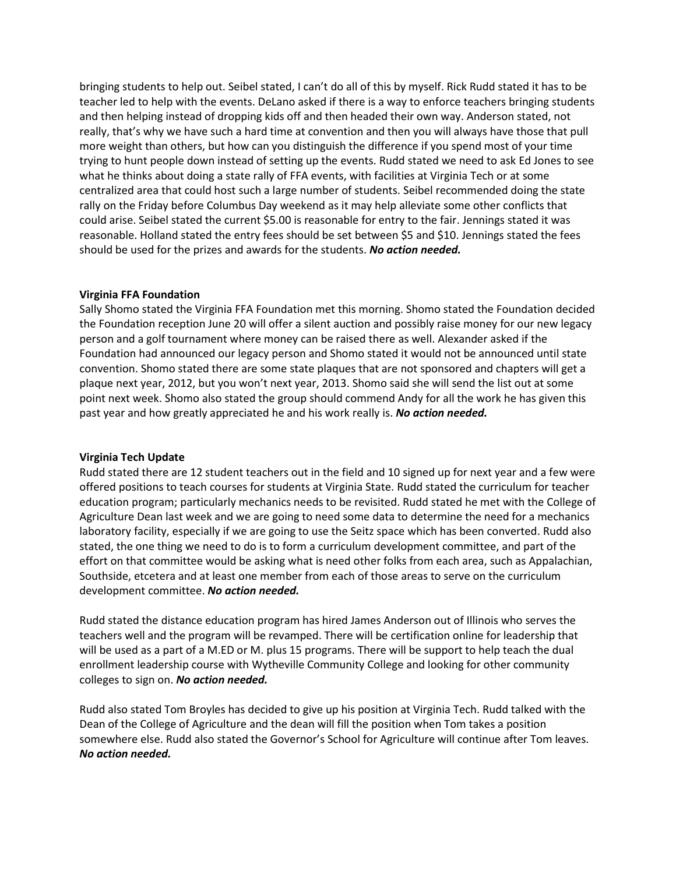bringing students to help out. Seibel stated, I can't do all of this by myself. Rick Rudd stated it has to be teacher led to help with the events. DeLano asked if there is a way to enforce teachers bringing students and then helping instead of dropping kids off and then headed their own way. Anderson stated, not really, that's why we have such a hard time at convention and then you will always have those that pull more weight than others, but how can you distinguish the difference if you spend most of your time trying to hunt people down instead of setting up the events. Rudd stated we need to ask Ed Jones to see what he thinks about doing a state rally of FFA events, with facilities at Virginia Tech or at some centralized area that could host such a large number of students. Seibel recommended doing the state rally on the Friday before Columbus Day weekend as it may help alleviate some other conflicts that could arise. Seibel stated the current \$5.00 is reasonable for entry to the fair. Jennings stated it was reasonable. Holland stated the entry fees should be set between \$5 and \$10. Jennings stated the fees should be used for the prizes and awards for the students. *No action needed.*

# **Virginia FFA Foundation**

Sally Shomo stated the Virginia FFA Foundation met this morning. Shomo stated the Foundation decided the Foundation reception June 20 will offer a silent auction and possibly raise money for our new legacy person and a golf tournament where money can be raised there as well. Alexander asked if the Foundation had announced our legacy person and Shomo stated it would not be announced until state convention. Shomo stated there are some state plaques that are not sponsored and chapters will get a plaque next year, 2012, but you won't next year, 2013. Shomo said she will send the list out at some point next week. Shomo also stated the group should commend Andy for all the work he has given this past year and how greatly appreciated he and his work really is. *No action needed.*

## **Virginia Tech Update**

Rudd stated there are 12 student teachers out in the field and 10 signed up for next year and a few were offered positions to teach courses for students at Virginia State. Rudd stated the curriculum for teacher education program; particularly mechanics needs to be revisited. Rudd stated he met with the College of Agriculture Dean last week and we are going to need some data to determine the need for a mechanics laboratory facility, especially if we are going to use the Seitz space which has been converted. Rudd also stated, the one thing we need to do is to form a curriculum development committee, and part of the effort on that committee would be asking what is need other folks from each area, such as Appalachian, Southside, etcetera and at least one member from each of those areas to serve on the curriculum development committee. *No action needed.*

Rudd stated the distance education program has hired James Anderson out of Illinois who serves the teachers well and the program will be revamped. There will be certification online for leadership that will be used as a part of a M.ED or M. plus 15 programs. There will be support to help teach the dual enrollment leadership course with Wytheville Community College and looking for other community colleges to sign on. *No action needed.*

Rudd also stated Tom Broyles has decided to give up his position at Virginia Tech. Rudd talked with the Dean of the College of Agriculture and the dean will fill the position when Tom takes a position somewhere else. Rudd also stated the Governor's School for Agriculture will continue after Tom leaves. *No action needed.*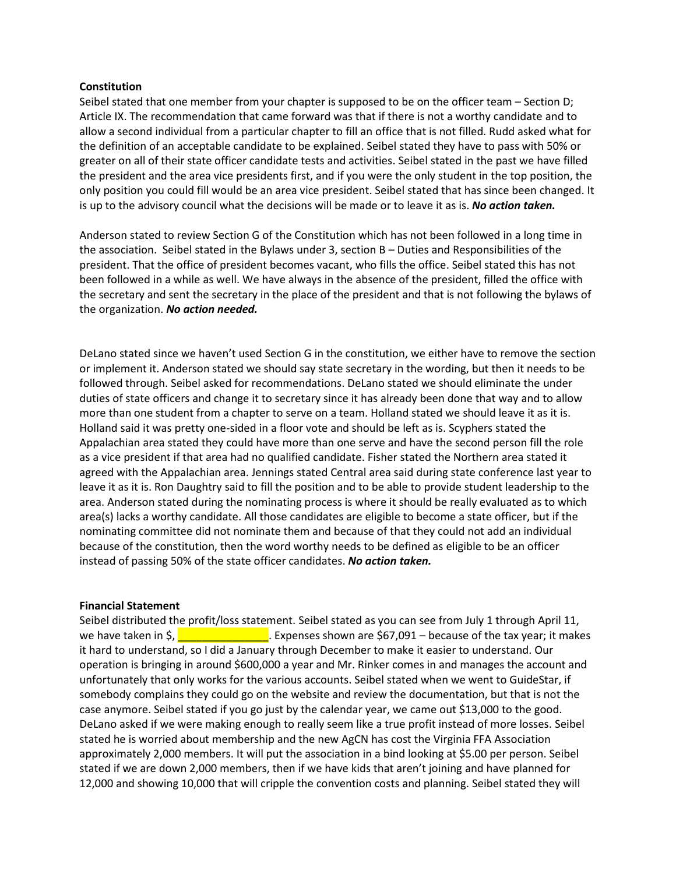## **Constitution**

Seibel stated that one member from your chapter is supposed to be on the officer team – Section D; Article IX. The recommendation that came forward was that if there is not a worthy candidate and to allow a second individual from a particular chapter to fill an office that is not filled. Rudd asked what for the definition of an acceptable candidate to be explained. Seibel stated they have to pass with 50% or greater on all of their state officer candidate tests and activities. Seibel stated in the past we have filled the president and the area vice presidents first, and if you were the only student in the top position, the only position you could fill would be an area vice president. Seibel stated that has since been changed. It is up to the advisory council what the decisions will be made or to leave it as is. *No action taken.*

Anderson stated to review Section G of the Constitution which has not been followed in a long time in the association. Seibel stated in the Bylaws under 3, section B – Duties and Responsibilities of the president. That the office of president becomes vacant, who fills the office. Seibel stated this has not been followed in a while as well. We have always in the absence of the president, filled the office with the secretary and sent the secretary in the place of the president and that is not following the bylaws of the organization. *No action needed.*

DeLano stated since we haven't used Section G in the constitution, we either have to remove the section or implement it. Anderson stated we should say state secretary in the wording, but then it needs to be followed through. Seibel asked for recommendations. DeLano stated we should eliminate the under duties of state officers and change it to secretary since it has already been done that way and to allow more than one student from a chapter to serve on a team. Holland stated we should leave it as it is. Holland said it was pretty one-sided in a floor vote and should be left as is. Scyphers stated the Appalachian area stated they could have more than one serve and have the second person fill the role as a vice president if that area had no qualified candidate. Fisher stated the Northern area stated it agreed with the Appalachian area. Jennings stated Central area said during state conference last year to leave it as it is. Ron Daughtry said to fill the position and to be able to provide student leadership to the area. Anderson stated during the nominating process is where it should be really evaluated as to which area(s) lacks a worthy candidate. All those candidates are eligible to become a state officer, but if the nominating committee did not nominate them and because of that they could not add an individual because of the constitution, then the word worthy needs to be defined as eligible to be an officer instead of passing 50% of the state officer candidates. *No action taken.*

## **Financial Statement**

Seibel distributed the profit/loss statement. Seibel stated as you can see from July 1 through April 11, we have taken in  $\frac{1}{2}$ ,  $\frac{1}{2}$  Expenses shown are \$67,091 – because of the tax year; it makes it hard to understand, so I did a January through December to make it easier to understand. Our operation is bringing in around \$600,000 a year and Mr. Rinker comes in and manages the account and unfortunately that only works for the various accounts. Seibel stated when we went to GuideStar, if somebody complains they could go on the website and review the documentation, but that is not the case anymore. Seibel stated if you go just by the calendar year, we came out \$13,000 to the good. DeLano asked if we were making enough to really seem like a true profit instead of more losses. Seibel stated he is worried about membership and the new AgCN has cost the Virginia FFA Association approximately 2,000 members. It will put the association in a bind looking at \$5.00 per person. Seibel stated if we are down 2,000 members, then if we have kids that aren't joining and have planned for 12,000 and showing 10,000 that will cripple the convention costs and planning. Seibel stated they will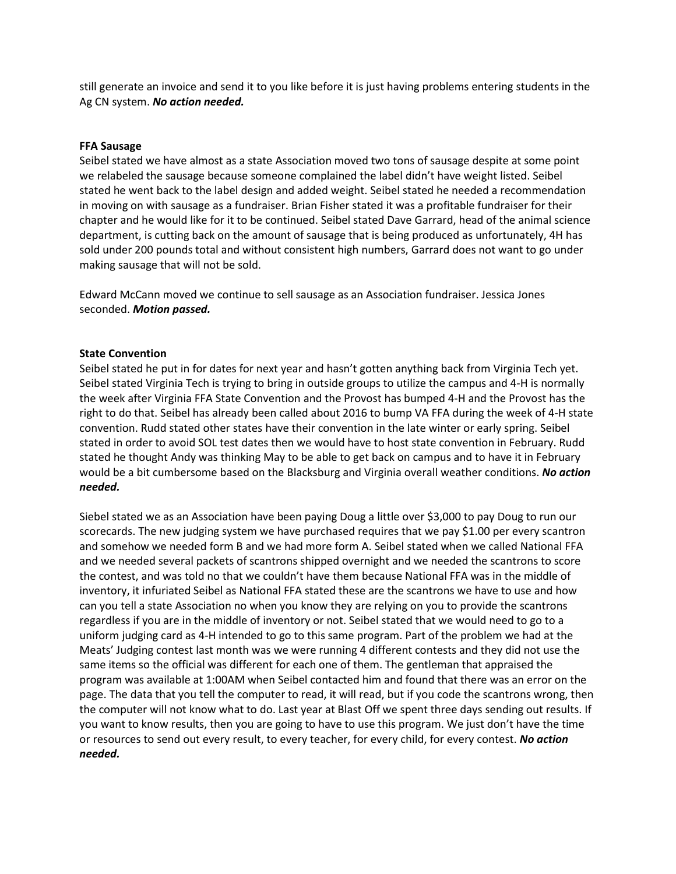still generate an invoice and send it to you like before it is just having problems entering students in the Ag CN system. *No action needed.*

# **FFA Sausage**

Seibel stated we have almost as a state Association moved two tons of sausage despite at some point we relabeled the sausage because someone complained the label didn't have weight listed. Seibel stated he went back to the label design and added weight. Seibel stated he needed a recommendation in moving on with sausage as a fundraiser. Brian Fisher stated it was a profitable fundraiser for their chapter and he would like for it to be continued. Seibel stated Dave Garrard, head of the animal science department, is cutting back on the amount of sausage that is being produced as unfortunately, 4H has sold under 200 pounds total and without consistent high numbers, Garrard does not want to go under making sausage that will not be sold.

Edward McCann moved we continue to sell sausage as an Association fundraiser. Jessica Jones seconded. *Motion passed.*

## **State Convention**

Seibel stated he put in for dates for next year and hasn't gotten anything back from Virginia Tech yet. Seibel stated Virginia Tech is trying to bring in outside groups to utilize the campus and 4-H is normally the week after Virginia FFA State Convention and the Provost has bumped 4-H and the Provost has the right to do that. Seibel has already been called about 2016 to bump VA FFA during the week of 4-H state convention. Rudd stated other states have their convention in the late winter or early spring. Seibel stated in order to avoid SOL test dates then we would have to host state convention in February. Rudd stated he thought Andy was thinking May to be able to get back on campus and to have it in February would be a bit cumbersome based on the Blacksburg and Virginia overall weather conditions. *No action needed.*

Siebel stated we as an Association have been paying Doug a little over \$3,000 to pay Doug to run our scorecards. The new judging system we have purchased requires that we pay \$1.00 per every scantron and somehow we needed form B and we had more form A. Seibel stated when we called National FFA and we needed several packets of scantrons shipped overnight and we needed the scantrons to score the contest, and was told no that we couldn't have them because National FFA was in the middle of inventory, it infuriated Seibel as National FFA stated these are the scantrons we have to use and how can you tell a state Association no when you know they are relying on you to provide the scantrons regardless if you are in the middle of inventory or not. Seibel stated that we would need to go to a uniform judging card as 4-H intended to go to this same program. Part of the problem we had at the Meats' Judging contest last month was we were running 4 different contests and they did not use the same items so the official was different for each one of them. The gentleman that appraised the program was available at 1:00AM when Seibel contacted him and found that there was an error on the page. The data that you tell the computer to read, it will read, but if you code the scantrons wrong, then the computer will not know what to do. Last year at Blast Off we spent three days sending out results. If you want to know results, then you are going to have to use this program. We just don't have the time or resources to send out every result, to every teacher, for every child, for every contest. *No action needed.*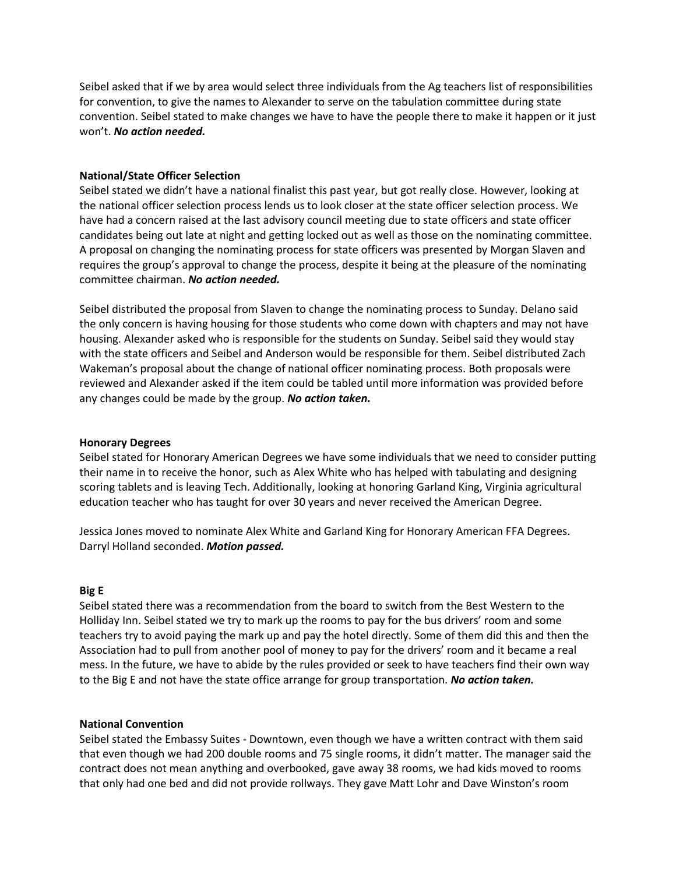Seibel asked that if we by area would select three individuals from the Ag teachers list of responsibilities for convention, to give the names to Alexander to serve on the tabulation committee during state convention. Seibel stated to make changes we have to have the people there to make it happen or it just won't. *No action needed.*

# **National/State Officer Selection**

Seibel stated we didn't have a national finalist this past year, but got really close. However, looking at the national officer selection process lends us to look closer at the state officer selection process. We have had a concern raised at the last advisory council meeting due to state officers and state officer candidates being out late at night and getting locked out as well as those on the nominating committee. A proposal on changing the nominating process for state officers was presented by Morgan Slaven and requires the group's approval to change the process, despite it being at the pleasure of the nominating committee chairman. *No action needed.*

Seibel distributed the proposal from Slaven to change the nominating process to Sunday. Delano said the only concern is having housing for those students who come down with chapters and may not have housing. Alexander asked who is responsible for the students on Sunday. Seibel said they would stay with the state officers and Seibel and Anderson would be responsible for them. Seibel distributed Zach Wakeman's proposal about the change of national officer nominating process. Both proposals were reviewed and Alexander asked if the item could be tabled until more information was provided before any changes could be made by the group. *No action taken.*

## **Honorary Degrees**

Seibel stated for Honorary American Degrees we have some individuals that we need to consider putting their name in to receive the honor, such as Alex White who has helped with tabulating and designing scoring tablets and is leaving Tech. Additionally, looking at honoring Garland King, Virginia agricultural education teacher who has taught for over 30 years and never received the American Degree.

Jessica Jones moved to nominate Alex White and Garland King for Honorary American FFA Degrees. Darryl Holland seconded. *Motion passed.*

## **Big E**

Seibel stated there was a recommendation from the board to switch from the Best Western to the Holliday Inn. Seibel stated we try to mark up the rooms to pay for the bus drivers' room and some teachers try to avoid paying the mark up and pay the hotel directly. Some of them did this and then the Association had to pull from another pool of money to pay for the drivers' room and it became a real mess. In the future, we have to abide by the rules provided or seek to have teachers find their own way to the Big E and not have the state office arrange for group transportation. *No action taken.*

## **National Convention**

Seibel stated the Embassy Suites - Downtown, even though we have a written contract with them said that even though we had 200 double rooms and 75 single rooms, it didn't matter. The manager said the contract does not mean anything and overbooked, gave away 38 rooms, we had kids moved to rooms that only had one bed and did not provide rollways. They gave Matt Lohr and Dave Winston's room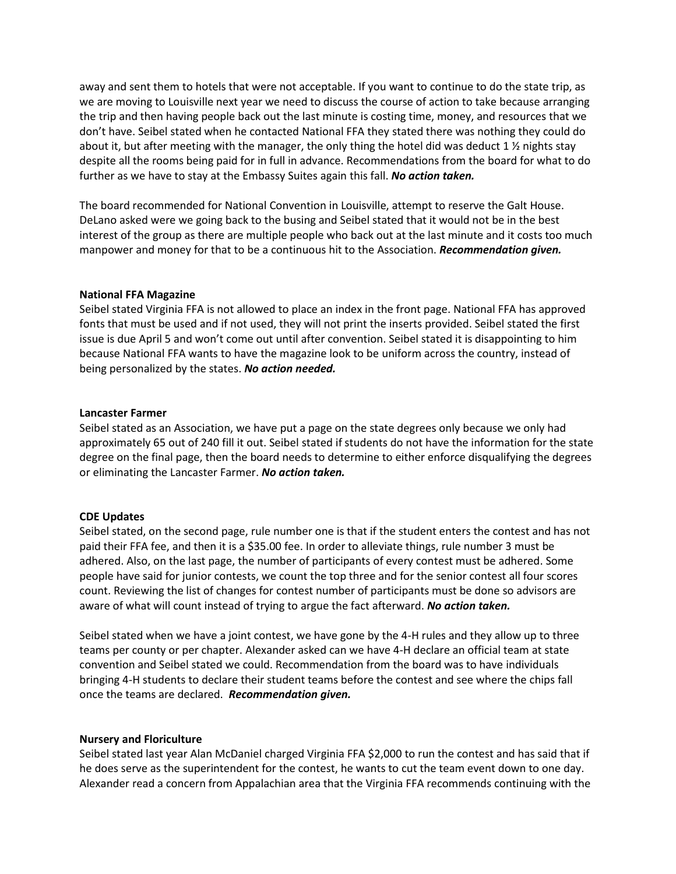away and sent them to hotels that were not acceptable. If you want to continue to do the state trip, as we are moving to Louisville next year we need to discuss the course of action to take because arranging the trip and then having people back out the last minute is costing time, money, and resources that we don't have. Seibel stated when he contacted National FFA they stated there was nothing they could do about it, but after meeting with the manager, the only thing the hotel did was deduct 1  $\frac{1}{2}$  nights stay despite all the rooms being paid for in full in advance. Recommendations from the board for what to do further as we have to stay at the Embassy Suites again this fall. *No action taken.*

The board recommended for National Convention in Louisville, attempt to reserve the Galt House. DeLano asked were we going back to the busing and Seibel stated that it would not be in the best interest of the group as there are multiple people who back out at the last minute and it costs too much manpower and money for that to be a continuous hit to the Association. *Recommendation given.*

## **National FFA Magazine**

Seibel stated Virginia FFA is not allowed to place an index in the front page. National FFA has approved fonts that must be used and if not used, they will not print the inserts provided. Seibel stated the first issue is due April 5 and won't come out until after convention. Seibel stated it is disappointing to him because National FFA wants to have the magazine look to be uniform across the country, instead of being personalized by the states. *No action needed.*

#### **Lancaster Farmer**

Seibel stated as an Association, we have put a page on the state degrees only because we only had approximately 65 out of 240 fill it out. Seibel stated if students do not have the information for the state degree on the final page, then the board needs to determine to either enforce disqualifying the degrees or eliminating the Lancaster Farmer. *No action taken.*

#### **CDE Updates**

Seibel stated, on the second page, rule number one is that if the student enters the contest and has not paid their FFA fee, and then it is a \$35.00 fee. In order to alleviate things, rule number 3 must be adhered. Also, on the last page, the number of participants of every contest must be adhered. Some people have said for junior contests, we count the top three and for the senior contest all four scores count. Reviewing the list of changes for contest number of participants must be done so advisors are aware of what will count instead of trying to argue the fact afterward. *No action taken.*

Seibel stated when we have a joint contest, we have gone by the 4-H rules and they allow up to three teams per county or per chapter. Alexander asked can we have 4-H declare an official team at state convention and Seibel stated we could. Recommendation from the board was to have individuals bringing 4-H students to declare their student teams before the contest and see where the chips fall once the teams are declared. *Recommendation given.*

#### **Nursery and Floriculture**

Seibel stated last year Alan McDaniel charged Virginia FFA \$2,000 to run the contest and has said that if he does serve as the superintendent for the contest, he wants to cut the team event down to one day. Alexander read a concern from Appalachian area that the Virginia FFA recommends continuing with the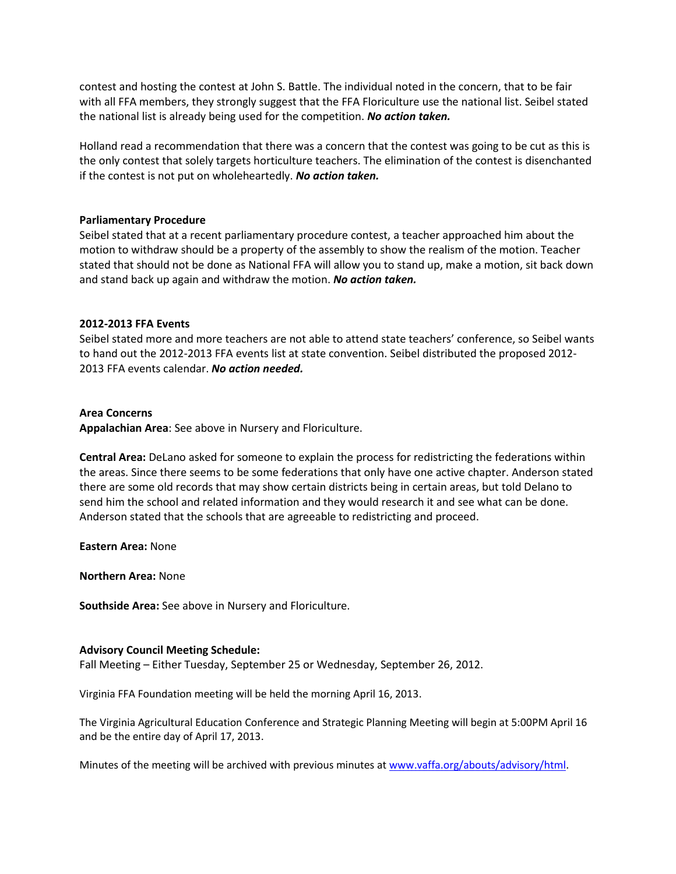contest and hosting the contest at John S. Battle. The individual noted in the concern, that to be fair with all FFA members, they strongly suggest that the FFA Floriculture use the national list. Seibel stated the national list is already being used for the competition. *No action taken.*

Holland read a recommendation that there was a concern that the contest was going to be cut as this is the only contest that solely targets horticulture teachers. The elimination of the contest is disenchanted if the contest is not put on wholeheartedly. *No action taken.*

## **Parliamentary Procedure**

Seibel stated that at a recent parliamentary procedure contest, a teacher approached him about the motion to withdraw should be a property of the assembly to show the realism of the motion. Teacher stated that should not be done as National FFA will allow you to stand up, make a motion, sit back down and stand back up again and withdraw the motion. *No action taken.*

#### **2012-2013 FFA Events**

Seibel stated more and more teachers are not able to attend state teachers' conference, so Seibel wants to hand out the 2012-2013 FFA events list at state convention. Seibel distributed the proposed 2012- 2013 FFA events calendar. *No action needed.*

#### **Area Concerns**

**Appalachian Area**: See above in Nursery and Floriculture.

**Central Area:** DeLano asked for someone to explain the process for redistricting the federations within the areas. Since there seems to be some federations that only have one active chapter. Anderson stated there are some old records that may show certain districts being in certain areas, but told Delano to send him the school and related information and they would research it and see what can be done. Anderson stated that the schools that are agreeable to redistricting and proceed.

**Eastern Area:** None

**Northern Area:** None

**Southside Area:** See above in Nursery and Floriculture.

#### **Advisory Council Meeting Schedule:**

Fall Meeting – Either Tuesday, September 25 or Wednesday, September 26, 2012.

Virginia FFA Foundation meeting will be held the morning April 16, 2013.

The Virginia Agricultural Education Conference and Strategic Planning Meeting will begin at 5:00PM April 16 and be the entire day of April 17, 2013.

Minutes of the meeting will be archived with previous minutes a[t www.vaffa.org/abouts/advisory/html.](http://www.vaffa.org/abouts/advisory/html)